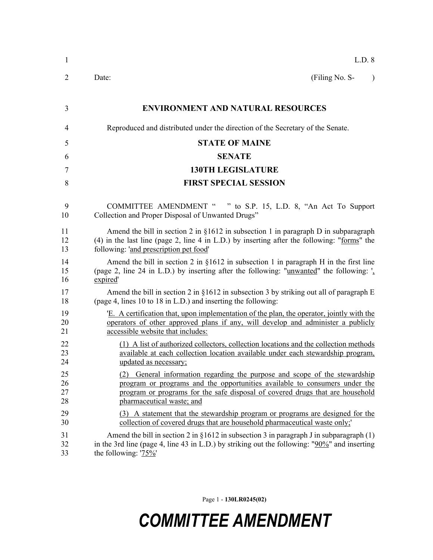| 1              | L.D. 8                                                                                            |  |  |
|----------------|---------------------------------------------------------------------------------------------------|--|--|
| $\overline{2}$ | (Filing No. S-<br>Date:<br>$\lambda$                                                              |  |  |
| 3              | <b>ENVIRONMENT AND NATURAL RESOURCES</b>                                                          |  |  |
| 4              | Reproduced and distributed under the direction of the Secretary of the Senate.                    |  |  |
| 5              | <b>STATE OF MAINE</b>                                                                             |  |  |
| 6              | <b>SENATE</b>                                                                                     |  |  |
| 7              | <b>130TH LEGISLATURE</b>                                                                          |  |  |
| 8              | <b>FIRST SPECIAL SESSION</b>                                                                      |  |  |
| 9              | COMMITTEE AMENDMENT " " to S.P. 15, L.D. 8, "An Act To Support                                    |  |  |
| 10             | Collection and Proper Disposal of Unwanted Drugs"                                                 |  |  |
| 11             | Amend the bill in section 2 in $\S 1612$ in subsection 1 in paragraph D in subparagraph           |  |  |
| 12             | (4) in the last line (page 2, line 4 in L.D.) by inserting after the following: "forms" the       |  |  |
| 13             | following: 'and prescription pet food'                                                            |  |  |
| 14             | Amend the bill in section 2 in $\S 1612$ in subsection 1 in paragraph H in the first line         |  |  |
| 15             | (page 2, line 24 in L.D.) by inserting after the following: "unwanted" the following: "           |  |  |
| 16             | expired'                                                                                          |  |  |
| 17             | Amend the bill in section 2 in $\S 1612$ in subsection 3 by striking out all of paragraph E       |  |  |
| 18             | (page 4, lines 10 to 18 in L.D.) and inserting the following:                                     |  |  |
| 19             | 'E. A certification that, upon implementation of the plan, the operator, jointly with the         |  |  |
| 20             | operators of other approved plans if any, will develop and administer a publicly                  |  |  |
| 21             | accessible website that includes:                                                                 |  |  |
| 22             | (1) A list of authorized collectors, collection locations and the collection methods              |  |  |
| 23             | available at each collection location available under each stewardship program,                   |  |  |
| 24             | updated as necessary;                                                                             |  |  |
| 25             | General information regarding the purpose and scope of the stewardship                            |  |  |
| 26             | program or programs and the opportunities available to consumers under the                        |  |  |
| 27             | program or programs for the safe disposal of covered drugs that are household                     |  |  |
| 28             | pharmaceutical waste; and                                                                         |  |  |
| 29             | (3) A statement that the stewardship program or programs are designed for the                     |  |  |
| 30             | collection of covered drugs that are household pharmaceutical waste only;                         |  |  |
| 31             | Amend the bill in section 2 in $\S 1612$ in subsection 3 in paragraph J in subparagraph (1)       |  |  |
| 32             | in the 3rd line (page 4, line 43 in L.D.) by striking out the following: " $90\%$ " and inserting |  |  |
| 33             | the following: $75\%$                                                                             |  |  |

Page 1 - **130LR0245(02)**

## *COMMITTEE AMENDMENT*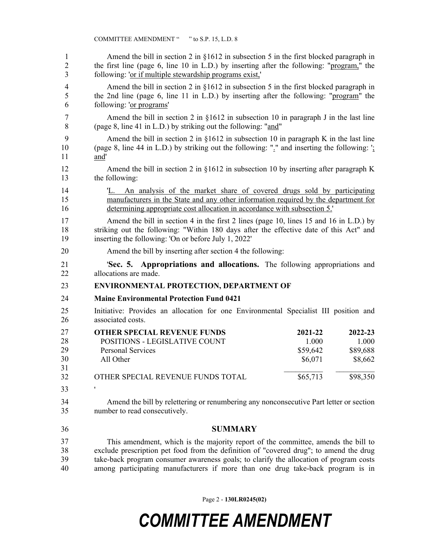| 1                          | Amend the bill in section 2 in $\S 1612$ in subsection 5 in the first blocked paragraph in                   |                                                                                      |                                         |  |  |
|----------------------------|--------------------------------------------------------------------------------------------------------------|--------------------------------------------------------------------------------------|-----------------------------------------|--|--|
| $\overline{2}$             | the first line (page 6, line 10 in L.D.) by inserting after the following: "program," the                    |                                                                                      |                                         |  |  |
| 3                          | following: 'or if multiple stewardship programs exist,'                                                      |                                                                                      |                                         |  |  |
| 4                          | Amend the bill in section 2 in $\S 1612$ in subsection 5 in the first blocked paragraph in                   |                                                                                      |                                         |  |  |
| 5                          | the 2nd line (page 6, line 11 in L.D.) by inserting after the following: "program" the                       |                                                                                      |                                         |  |  |
| 6                          | following: 'or programs'                                                                                     |                                                                                      |                                         |  |  |
| 7                          | Amend the bill in section 2 in $\S 1612$ in subsection 10 in paragraph J in the last line                    |                                                                                      |                                         |  |  |
| 8                          | (page 8, line 41 in L.D.) by striking out the following: "and"                                               |                                                                                      |                                         |  |  |
| 9                          | Amend the bill in section 2 in $\S 1612$ in subsection 10 in paragraph K in the last line                    |                                                                                      |                                         |  |  |
| 10                         | (page 8, line 44 in L.D.) by striking out the following: " $\frac{1}{2}$ " and inserting the following: "    |                                                                                      |                                         |  |  |
| 11                         | and'                                                                                                         |                                                                                      |                                         |  |  |
| 12                         | Amend the bill in section 2 in $\S 1612$ in subsection 10 by inserting after paragraph K                     |                                                                                      |                                         |  |  |
| 13                         | the following:                                                                                               |                                                                                      |                                         |  |  |
| 14                         | 'L. An analysis of the market share of covered drugs sold by participating                                   |                                                                                      |                                         |  |  |
| 15                         | manufacturers in the State and any other information required by the department for                          |                                                                                      |                                         |  |  |
| 16                         | determining appropriate cost allocation in accordance with subsection 5.                                     |                                                                                      |                                         |  |  |
| 17                         | Amend the bill in section 4 in the first 2 lines (page 10, lines 15 and 16 in L.D.) by                       |                                                                                      |                                         |  |  |
| 18                         | striking out the following: "Within 180 days after the effective date of this Act" and                       |                                                                                      |                                         |  |  |
| 19                         | inserting the following: 'On or before July 1, 2022'                                                         |                                                                                      |                                         |  |  |
| 20                         | Amend the bill by inserting after section 4 the following:                                                   |                                                                                      |                                         |  |  |
| 21                         | <b>Sec. 5. Appropriations and allocations.</b> The following appropriations and                              |                                                                                      |                                         |  |  |
| 22                         | allocations are made.                                                                                        |                                                                                      |                                         |  |  |
| 23                         |                                                                                                              | ENVIRONMENTAL PROTECTION, DEPARTMENT OF                                              |                                         |  |  |
| 24                         | <b>Maine Environmental Protection Fund 0421</b>                                                              |                                                                                      |                                         |  |  |
| 25<br>26                   | associated costs.                                                                                            | Initiative: Provides an allocation for one Environmental Specialist III position and |                                         |  |  |
| 27<br>28<br>29<br>30<br>31 | <b>OTHER SPECIAL REVENUE FUNDS</b><br>POSITIONS - LEGISLATIVE COUNT<br><b>Personal Services</b><br>All Other | 2021-22<br>1.000<br>\$59,642<br>\$6,071                                              | 2022-23<br>1.000<br>\$89,688<br>\$8,662 |  |  |
| 32                         | OTHER SPECIAL REVENUE FUNDS TOTAL                                                                            | \$65,713                                                                             | \$98,350                                |  |  |
| 33                         | ,                                                                                                            |                                                                                      |                                         |  |  |
| 34                         | Amend the bill by relettering or renumbering any nonconsecutive Part letter or section                       |                                                                                      |                                         |  |  |
| 35                         | number to read consecutively.                                                                                |                                                                                      |                                         |  |  |
| 36                         | <b>SUMMARY</b>                                                                                               |                                                                                      |                                         |  |  |
| 37                         | This amendment, which is the majority report of the committee, amends the bill to                            |                                                                                      |                                         |  |  |
| 38                         | exclude prescription pet food from the definition of "covered drug"; to amend the drug                       |                                                                                      |                                         |  |  |
| 39                         | take-back program consumer awareness goals; to clarify the allocation of program costs                       |                                                                                      |                                         |  |  |
| 40                         | among participating manufacturers if more than one drug take-back program is in                              |                                                                                      |                                         |  |  |

Page 2 - **130LR0245(02)**

## *COMMITTEE AMENDMENT*